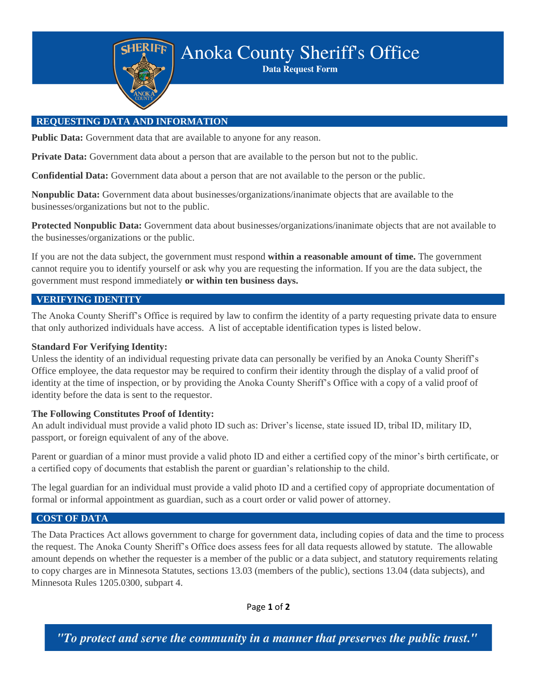

**Anoka County Sheriff's Office** 

**Data Request Form** 

# **REQUESTING DATA AND INFORMATION**

**Public Data:** Government data that are available to anyone for any reason.

**Private Data:** Government data about a person that are available to the person but not to the public.

**Confidential Data:** Government data about a person that are not available to the person or the public.

**Nonpublic Data:** Government data about businesses/organizations/inanimate objects that are available to the businesses/organizations but not to the public.

**Protected Nonpublic Data:** Government data about businesses/organizations/inanimate objects that are not available to the businesses/organizations or the public.

If you are not the data subject, the government must respond **within a reasonable amount of time.** The government cannot require you to identify yourself or ask why you are requesting the information. If you are the data subject, the government must respond immediately **or within ten business days.**

### **VERIFYING IDENTITY**

The Anoka County Sheriff's Office is required by law to confirm the identity of a party requesting private data to ensure that only authorized individuals have access. A list of acceptable identification types is listed below.

#### **Standard For Verifying Identity:**

Unless the identity of an individual requesting private data can personally be verified by an Anoka County Sheriff's Office employee, the data requestor may be required to confirm their identity through the display of a valid proof of identity at the time of inspection, or by providing the Anoka County Sheriff's Office with a copy of a valid proof of identity before the data is sent to the requestor.

#### **The Following Constitutes Proof of Identity:**

An adult individual must provide a valid photo ID such as: Driver's license, state issued ID, tribal ID, military ID, passport, or foreign equivalent of any of the above.

Parent or guardian of a minor must provide a valid photo ID and either a certified copy of the minor's birth certificate, or a certified copy of documents that establish the parent or guardian's relationship to the child.

The legal guardian for an individual must provide a valid photo ID and a certified copy of appropriate documentation of formal or informal appointment as guardian, such as a court order or valid power of attorney.

#### **COST OF DATA**

The Data Practices Act allows government to charge for government data, including copies of data and the time to process the request. The Anoka County Sheriff's Office does assess fees for all data requests allowed by statute. The allowable amount depends on whether the requester is a member of the public or a data subject, and statutory requirements relating to copy charges are in Minnesota Statutes, sections 13.03 (members of the public), sections 13.04 (data subjects), and Minnesota Rules 1205.0300, subpart 4.

Page **1** of **2**

"To protect and serve the community in a manner that preserves the public trust."